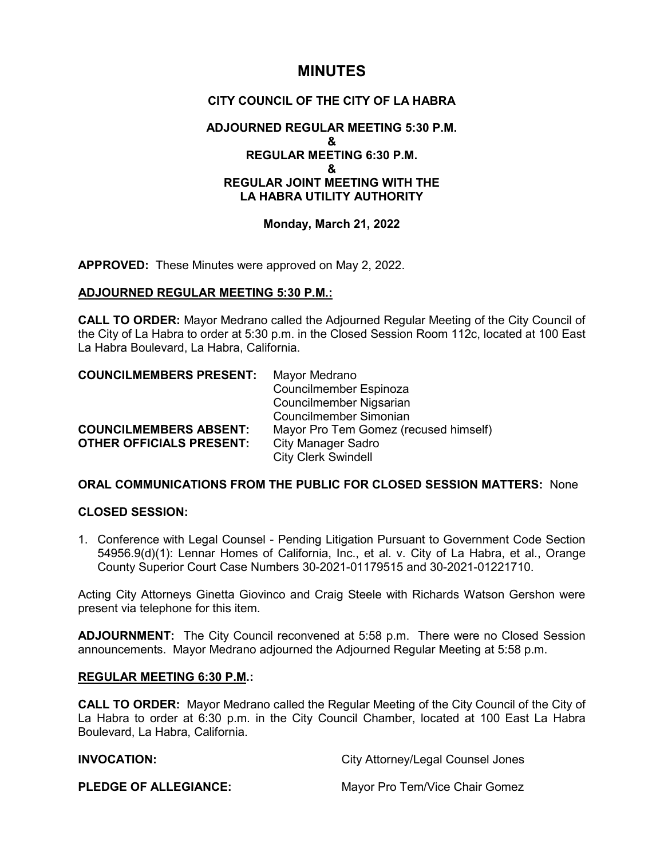# **MINUTES**

# **CITY COUNCIL OF THE CITY OF LA HABRA**

# **ADJOURNED REGULAR MEETING 5:30 P.M. & REGULAR MEETING 6:30 P.M. & REGULAR JOINT MEETING WITH THE LA HABRA UTILITY AUTHORITY**

### **Monday, March 21, 2022**

**APPROVED:** These Minutes were approved on May 2, 2022.

### **ADJOURNED REGULAR MEETING 5:30 P.M.:**

**CALL TO ORDER:** Mayor Medrano called the Adjourned Regular Meeting of the City Council of the City of La Habra to order at 5:30 p.m. in the Closed Session Room 112c, located at 100 East La Habra Boulevard, La Habra, California.

| <b>COUNCILMEMBERS PRESENT:</b>  | Mayor Medrano                         |
|---------------------------------|---------------------------------------|
|                                 | Councilmember Espinoza                |
|                                 | Councilmember Nigsarian               |
|                                 | Councilmember Simonian                |
| <b>COUNCILMEMBERS ABSENT:</b>   | Mayor Pro Tem Gomez (recused himself) |
| <b>OTHER OFFICIALS PRESENT:</b> | <b>City Manager Sadro</b>             |
|                                 | <b>City Clerk Swindell</b>            |

# **ORAL COMMUNICATIONS FROM THE PUBLIC FOR CLOSED SESSION MATTERS:** None

### **CLOSED SESSION:**

1. Conference with Legal Counsel - Pending Litigation Pursuant to Government Code Section 54956.9(d)(1): Lennar Homes of California, Inc., et al. v. City of La Habra, et al., Orange County Superior Court Case Numbers 30-2021-01179515 and 30-2021-01221710.

Acting City Attorneys Ginetta Giovinco and Craig Steele with Richards Watson Gershon were present via telephone for this item.

**ADJOURNMENT:** The City Council reconvened at 5:58 p.m. There were no Closed Session announcements. Mayor Medrano adjourned the Adjourned Regular Meeting at 5:58 p.m.

#### **REGULAR MEETING 6:30 P.M.:**

**CALL TO ORDER:** Mayor Medrano called the Regular Meeting of the City Council of the City of La Habra to order at 6:30 p.m. in the City Council Chamber, located at 100 East La Habra Boulevard, La Habra, California.

**INVOCATION:** City Attorney/Legal Counsel Jones

**PLEDGE OF ALLEGIANCE:** Mayor Pro Tem/Vice Chair Gomez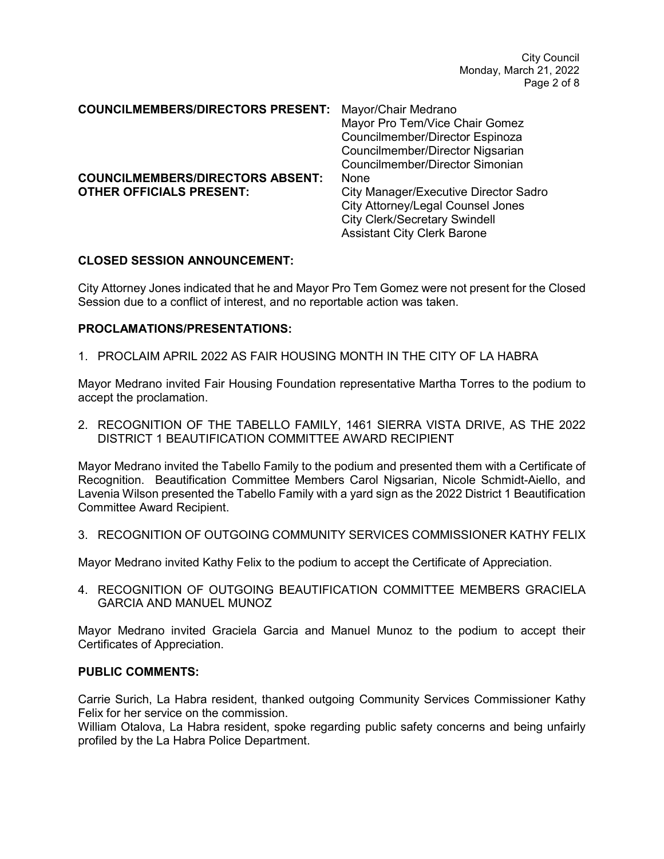City Council Monday, March 21, 2022 Page 2 of 8

| <b>COUNCILMEMBERS/DIRECTORS PRESENT:</b>                                   | Mayor/Chair Medrano<br>Mayor Pro Tem/Vice Chair Gomez<br>Councilmember/Director Espinoza<br>Councilmember/Director Nigsarian<br>Councilmember/Director Simonian                |
|----------------------------------------------------------------------------|--------------------------------------------------------------------------------------------------------------------------------------------------------------------------------|
| <b>COUNCILMEMBERS/DIRECTORS ABSENT:</b><br><b>OTHER OFFICIALS PRESENT:</b> | None<br><b>City Manager/Executive Director Sadro</b><br><b>City Attorney/Legal Counsel Jones</b><br><b>City Clerk/Secretary Swindell</b><br><b>Assistant City Clerk Barone</b> |

#### **CLOSED SESSION ANNOUNCEMENT:**

City Attorney Jones indicated that he and Mayor Pro Tem Gomez were not present for the Closed Session due to a conflict of interest, and no reportable action was taken.

#### **PROCLAMATIONS/PRESENTATIONS:**

1. PROCLAIM APRIL 2022 AS FAIR HOUSING MONTH IN THE CITY OF LA HABRA

Mayor Medrano invited Fair Housing Foundation representative Martha Torres to the podium to accept the proclamation.

2. RECOGNITION OF THE TABELLO FAMILY, 1461 SIERRA VISTA DRIVE, AS THE 2022 DISTRICT 1 BEAUTIFICATION COMMITTEE AWARD RECIPIENT

Mayor Medrano invited the Tabello Family to the podium and presented them with a Certificate of Recognition. Beautification Committee Members Carol Nigsarian, Nicole Schmidt-Aiello, and Lavenia Wilson presented the Tabello Family with a yard sign as the 2022 District 1 Beautification Committee Award Recipient.

3. RECOGNITION OF OUTGOING COMMUNITY SERVICES COMMISSIONER KATHY FELIX

Mayor Medrano invited Kathy Felix to the podium to accept the Certificate of Appreciation.

4. RECOGNITION OF OUTGOING BEAUTIFICATION COMMITTEE MEMBERS GRACIELA GARCIA AND MANUEL MUNOZ

Mayor Medrano invited Graciela Garcia and Manuel Munoz to the podium to accept their Certificates of Appreciation.

#### **PUBLIC COMMENTS:**

Carrie Surich, La Habra resident, thanked outgoing Community Services Commissioner Kathy Felix for her service on the commission.

William Otalova, La Habra resident, spoke regarding public safety concerns and being unfairly profiled by the La Habra Police Department.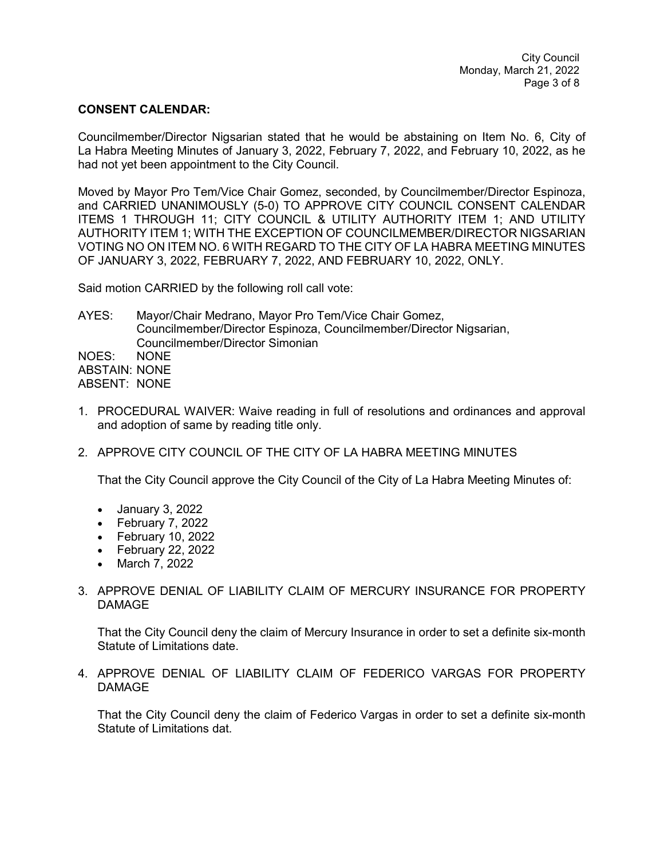#### **CONSENT CALENDAR:**

Councilmember/Director Nigsarian stated that he would be abstaining on Item No. 6, City of La Habra Meeting Minutes of January 3, 2022, February 7, 2022, and February 10, 2022, as he had not yet been appointment to the City Council.

Moved by Mayor Pro Tem/Vice Chair Gomez, seconded, by Councilmember/Director Espinoza, and CARRIED UNANIMOUSLY (5-0) TO APPROVE CITY COUNCIL CONSENT CALENDAR ITEMS 1 THROUGH 11; CITY COUNCIL & UTILITY AUTHORITY ITEM 1; AND UTILITY AUTHORITY ITEM 1; WITH THE EXCEPTION OF COUNCILMEMBER/DIRECTOR NIGSARIAN VOTING NO ON ITEM NO. 6 WITH REGARD TO THE CITY OF LA HABRA MEETING MINUTES OF JANUARY 3, 2022, FEBRUARY 7, 2022, AND FEBRUARY 10, 2022, ONLY.

Said motion CARRIED by the following roll call vote:

AYES: Mayor/Chair Medrano, Mayor Pro Tem/Vice Chair Gomez, Councilmember/Director Espinoza, Councilmember/Director Nigsarian, Councilmember/Director Simonian NOES: NONE ABSTAIN: NONE ABSENT: NONE

- 1. PROCEDURAL WAIVER: Waive reading in full of resolutions and ordinances and approval and adoption of same by reading title only.
- 2. APPROVE CITY COUNCIL OF THE CITY OF LA HABRA MEETING MINUTES

That the City Council approve the City Council of the City of La Habra Meeting Minutes of:

- January 3, 2022
- February 7, 2022
- February 10, 2022
- February 22, 2022
- March 7, 2022
- 3. APPROVE DENIAL OF LIABILITY CLAIM OF MERCURY INSURANCE FOR PROPERTY DAMAGE

That the City Council deny the claim of Mercury Insurance in order to set a definite six-month Statute of Limitations date.

4. APPROVE DENIAL OF LIABILITY CLAIM OF FEDERICO VARGAS FOR PROPERTY DAMAGE

That the City Council deny the claim of Federico Vargas in order to set a definite six-month Statute of Limitations dat.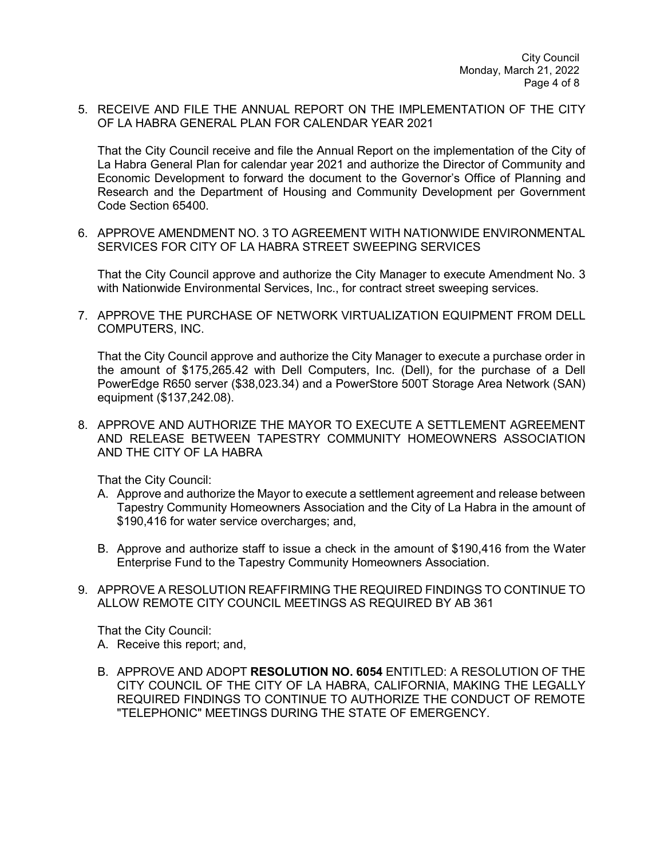5. RECEIVE AND FILE THE ANNUAL REPORT ON THE IMPLEMENTATION OF THE CITY OF LA HABRA GENERAL PLAN FOR CALENDAR YEAR 2021

That the City Council receive and file the Annual Report on the implementation of the City of La Habra General Plan for calendar year 2021 and authorize the Director of Community and Economic Development to forward the document to the Governor's Office of Planning and Research and the Department of Housing and Community Development per Government Code Section 65400.

6. APPROVE AMENDMENT NO. 3 TO AGREEMENT WITH NATIONWIDE ENVIRONMENTAL SERVICES FOR CITY OF LA HABRA STREET SWEEPING SERVICES

That the City Council approve and authorize the City Manager to execute Amendment No. 3 with Nationwide Environmental Services, Inc., for contract street sweeping services.

7. APPROVE THE PURCHASE OF NETWORK VIRTUALIZATION EQUIPMENT FROM DELL COMPUTERS, INC.

That the City Council approve and authorize the City Manager to execute a purchase order in the amount of \$175,265.42 with Dell Computers, Inc. (Dell), for the purchase of a Dell PowerEdge R650 server (\$38,023.34) and a PowerStore 500T Storage Area Network (SAN) equipment (\$137,242.08).

8. APPROVE AND AUTHORIZE THE MAYOR TO EXECUTE A SETTLEMENT AGREEMENT AND RELEASE BETWEEN TAPESTRY COMMUNITY HOMEOWNERS ASSOCIATION AND THE CITY OF LA HABRA

That the City Council:

- A. Approve and authorize the Mayor to execute a settlement agreement and release between Tapestry Community Homeowners Association and the City of La Habra in the amount of \$190,416 for water service overcharges; and,
- B. Approve and authorize staff to issue a check in the amount of \$190,416 from the Water Enterprise Fund to the Tapestry Community Homeowners Association.
- 9. APPROVE A RESOLUTION REAFFIRMING THE REQUIRED FINDINGS TO CONTINUE TO ALLOW REMOTE CITY COUNCIL MEETINGS AS REQUIRED BY AB 361

That the City Council:

- A. Receive this report; and,
- B. APPROVE AND ADOPT **RESOLUTION NO. 6054** ENTITLED: A RESOLUTION OF THE CITY COUNCIL OF THE CITY OF LA HABRA, CALIFORNIA, MAKING THE LEGALLY REQUIRED FINDINGS TO CONTINUE TO AUTHORIZE THE CONDUCT OF REMOTE "TELEPHONIC" MEETINGS DURING THE STATE OF EMERGENCY.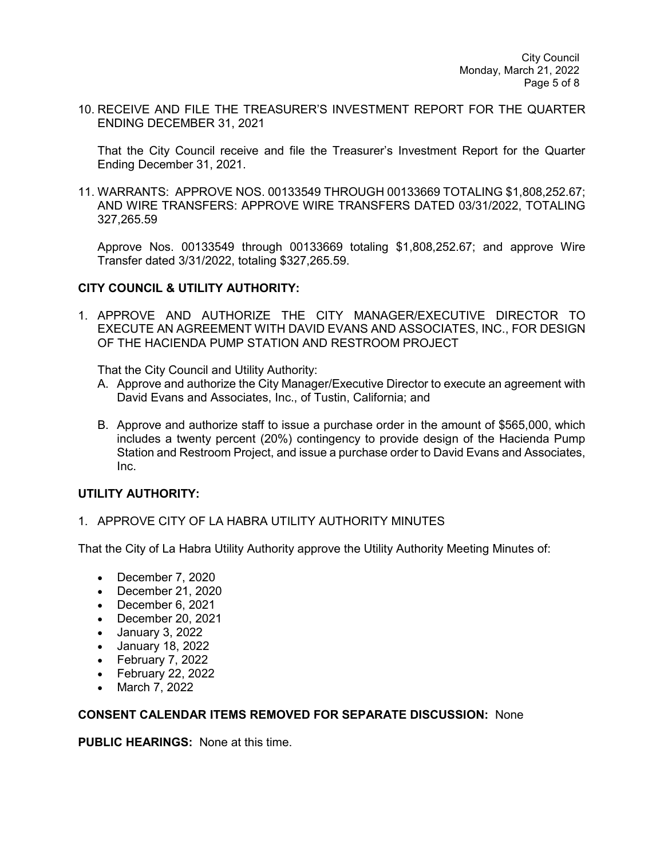10. RECEIVE AND FILE THE TREASURER'S INVESTMENT REPORT FOR THE QUARTER ENDING DECEMBER 31, 2021

That the City Council receive and file the Treasurer's Investment Report for the Quarter Ending December 31, 2021.

11. WARRANTS: APPROVE NOS. 00133549 THROUGH 00133669 TOTALING \$1,808,252.67; AND WIRE TRANSFERS: APPROVE WIRE TRANSFERS DATED 03/31/2022, TOTALING 327,265.59

Approve Nos. 00133549 through 00133669 totaling \$1,808,252.67; and approve Wire Transfer dated 3/31/2022, totaling \$327,265.59.

#### **CITY COUNCIL & UTILITY AUTHORITY:**

1. APPROVE AND AUTHORIZE THE CITY MANAGER/EXECUTIVE DIRECTOR TO EXECUTE AN AGREEMENT WITH DAVID EVANS AND ASSOCIATES, INC., FOR DESIGN OF THE HACIENDA PUMP STATION AND RESTROOM PROJECT

That the City Council and Utility Authority:

- A. Approve and authorize the City Manager/Executive Director to execute an agreement with David Evans and Associates, Inc., of Tustin, California; and
- B. Approve and authorize staff to issue a purchase order in the amount of \$565,000, which includes a twenty percent (20%) contingency to provide design of the Hacienda Pump Station and Restroom Project, and issue a purchase order to David Evans and Associates, Inc.

# **UTILITY AUTHORITY:**

1. APPROVE CITY OF LA HABRA UTILITY AUTHORITY MINUTES

That the City of La Habra Utility Authority approve the Utility Authority Meeting Minutes of:

- December 7, 2020
- December 21, 2020
- December 6, 2021
- December 20, 2021
- January 3, 2022
- January 18, 2022
- February 7, 2022
- February 22, 2022
- March 7, 2022

#### **CONSENT CALENDAR ITEMS REMOVED FOR SEPARATE DISCUSSION:** None

**PUBLIC HEARINGS:** None at this time.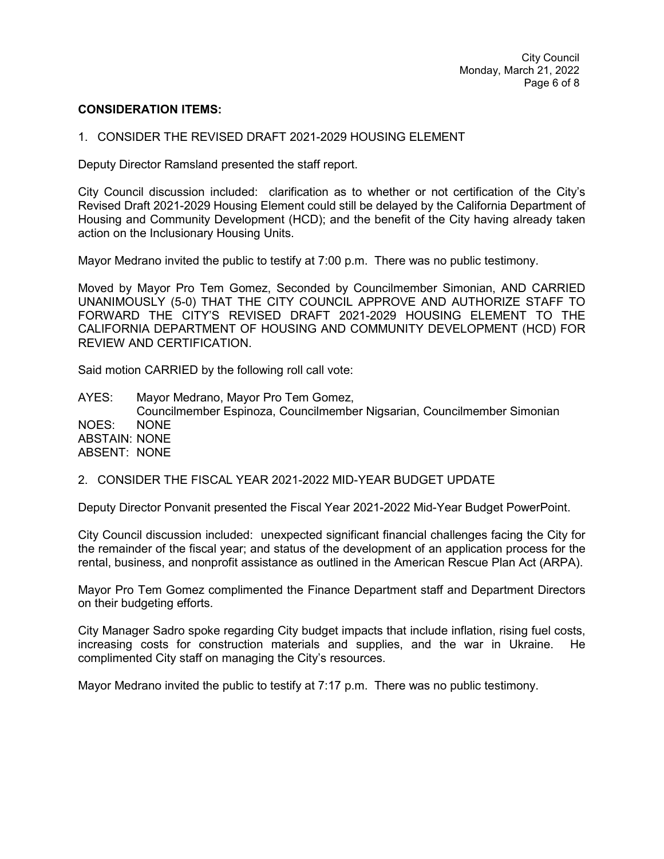#### **CONSIDERATION ITEMS:**

#### 1. CONSIDER THE REVISED DRAFT 2021-2029 HOUSING ELEMENT

Deputy Director Ramsland presented the staff report.

City Council discussion included: clarification as to whether or not certification of the City's Revised Draft 2021-2029 Housing Element could still be delayed by the California Department of Housing and Community Development (HCD); and the benefit of the City having already taken action on the Inclusionary Housing Units.

Mayor Medrano invited the public to testify at 7:00 p.m. There was no public testimony.

Moved by Mayor Pro Tem Gomez, Seconded by Councilmember Simonian, AND CARRIED UNANIMOUSLY (5-0) THAT THE CITY COUNCIL APPROVE AND AUTHORIZE STAFF TO FORWARD THE CITY'S REVISED DRAFT 2021-2029 HOUSING ELEMENT TO THE CALIFORNIA DEPARTMENT OF HOUSING AND COMMUNITY DEVELOPMENT (HCD) FOR REVIEW AND CERTIFICATION.

Said motion CARRIED by the following roll call vote:

AYES: Mayor Medrano, Mayor Pro Tem Gomez, Councilmember Espinoza, Councilmember Nigsarian, Councilmember Simonian NOES: NONE ABSTAIN: NONE ABSENT: NONE

#### 2. CONSIDER THE FISCAL YEAR 2021-2022 MID-YEAR BUDGET UPDATE

Deputy Director Ponvanit presented the Fiscal Year 2021-2022 Mid-Year Budget PowerPoint.

City Council discussion included: unexpected significant financial challenges facing the City for the remainder of the fiscal year; and status of the development of an application process for the rental, business, and nonprofit assistance as outlined in the American Rescue Plan Act (ARPA).

Mayor Pro Tem Gomez complimented the Finance Department staff and Department Directors on their budgeting efforts.

City Manager Sadro spoke regarding City budget impacts that include inflation, rising fuel costs, increasing costs for construction materials and supplies, and the war in Ukraine. He complimented City staff on managing the City's resources.

Mayor Medrano invited the public to testify at 7:17 p.m. There was no public testimony.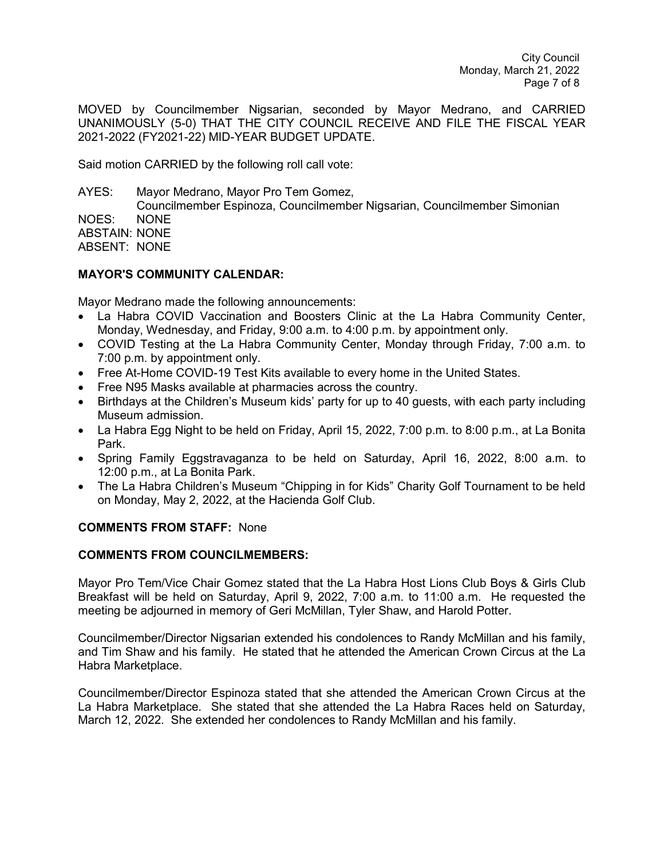City Council Monday, March 21, 2022 Page 7 of 8

MOVED by Councilmember Nigsarian, seconded by Mayor Medrano, and CARRIED UNANIMOUSLY (5-0) THAT THE CITY COUNCIL RECEIVE AND FILE THE FISCAL YEAR 2021-2022 (FY2021-22) MID-YEAR BUDGET UPDATE.

Said motion CARRIED by the following roll call vote:

AYES: Mayor Medrano, Mayor Pro Tem Gomez, Councilmember Espinoza, Councilmember Nigsarian, Councilmember Simonian NOES: NONE ABSTAIN: NONE ABSENT: NONE

# **MAYOR'S COMMUNITY CALENDAR:**

Mayor Medrano made the following announcements:

- La Habra COVID Vaccination and Boosters Clinic at the La Habra Community Center, Monday, Wednesday, and Friday, 9:00 a.m. to 4:00 p.m. by appointment only.
- COVID Testing at the La Habra Community Center, Monday through Friday, 7:00 a.m. to 7:00 p.m. by appointment only.
- Free At-Home COVID-19 Test Kits available to every home in the United States.
- Free N95 Masks available at pharmacies across the country.
- Birthdays at the Children's Museum kids' party for up to 40 guests, with each party including Museum admission.
- La Habra Egg Night to be held on Friday, April 15, 2022, 7:00 p.m. to 8:00 p.m., at La Bonita Park.
- Spring Family Eggstravaganza to be held on Saturday, April 16, 2022, 8:00 a.m. to 12:00 p.m., at La Bonita Park.
- The La Habra Children's Museum "Chipping in for Kids" Charity Golf Tournament to be held on Monday, May 2, 2022, at the Hacienda Golf Club.

# **COMMENTS FROM STAFF:** None

# **COMMENTS FROM COUNCILMEMBERS:**

Mayor Pro Tem/Vice Chair Gomez stated that the La Habra Host Lions Club Boys & Girls Club Breakfast will be held on Saturday, April 9, 2022, 7:00 a.m. to 11:00 a.m. He requested the meeting be adjourned in memory of Geri McMillan, Tyler Shaw, and Harold Potter.

Councilmember/Director Nigsarian extended his condolences to Randy McMillan and his family, and Tim Shaw and his family. He stated that he attended the American Crown Circus at the La Habra Marketplace.

Councilmember/Director Espinoza stated that she attended the American Crown Circus at the La Habra Marketplace. She stated that she attended the La Habra Races held on Saturday, March 12, 2022. She extended her condolences to Randy McMillan and his family.